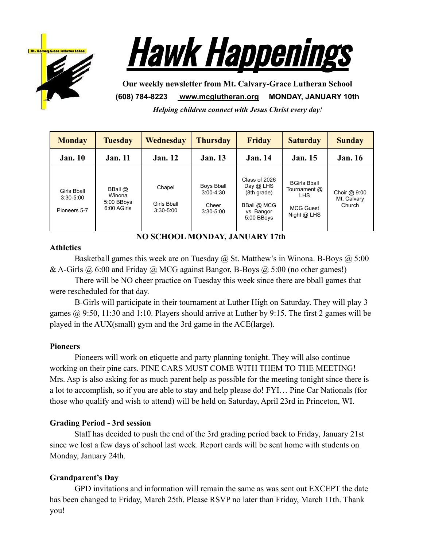



**Our weekly newsletter from Mt. Calvary-Grace Lutheran School (608) 784-8223 [www.mcglutheran.org](http://www.mcglutheran.org/) MONDAY, JANUARY 10th**

*Helping children connect with Jesus Christ every day!*

| <b>Monday</b>                                | <b>Tuesday</b>                                 | Wednesday                                     | <b>Thursday</b>                                       | <b>Friday</b>                                                                        | <b>Saturday</b>                                                                        | <b>Sunday</b>                          |
|----------------------------------------------|------------------------------------------------|-----------------------------------------------|-------------------------------------------------------|--------------------------------------------------------------------------------------|----------------------------------------------------------------------------------------|----------------------------------------|
| <b>Jan.</b> 10                               | <b>Jan.</b> 11                                 | <b>Jan.</b> 12                                | <b>Jan.</b> 13                                        | <b>Jan.</b> 14                                                                       | <b>Jan.</b> 15                                                                         | <b>Jan.</b> 16                         |
| Girls Bball<br>$3:30 - 5:00$<br>Pioneers 5-7 | BBall @<br>Winona<br>5:00 BBoys<br>6:00 AGirls | Chapel<br><b>Girls Bball</b><br>$3:30 - 5:00$ | Boys Bball<br>$3:00 - 4:30$<br>Cheer<br>$3:30 - 5:00$ | Class of 2026<br>Day @ LHS<br>(8th grade)<br>BBall @ MCG<br>vs. Bangor<br>5:00 BBoys | <b>BGirls Bball</b><br>Tournament @<br><b>LHS</b><br><b>MCG Guest</b><br>Night $@$ LHS | Choir $@9:00$<br>Mt. Calvary<br>Church |

**NO SCHOOL MONDAY, JANUARY 17th**

## **Athletics**

Basketball games this week are on Tuesday  $\omega$ , St. Matthew's in Winona. B-Boys  $\omega$ , 5:00 & A-Girls  $\omega$  6:00 and Friday  $\omega$  MCG against Bangor, B-Boys  $\omega$  5:00 (no other games!)

There will be NO cheer practice on Tuesday this week since there are bball games that were rescheduled for that day.

B-Girls will participate in their tournament at Luther High on Saturday. They will play 3 games @ 9:50, 11:30 and 1:10. Players should arrive at Luther by 9:15. The first 2 games will be played in the AUX(small) gym and the 3rd game in the ACE(large).

# **Pioneers**

Pioneers will work on etiquette and party planning tonight. They will also continue working on their pine cars. PINE CARS MUST COME WITH THEM TO THE MEETING! Mrs. Asp is also asking for as much parent help as possible for the meeting tonight since there is a lot to accomplish, so if you are able to stay and help please do! FYI… Pine Car Nationals (for those who qualify and wish to attend) will be held on Saturday, April 23rd in Princeton, WI.

# **Grading Period - 3rd session**

Staff has decided to push the end of the 3rd grading period back to Friday, January 21st since we lost a few days of school last week. Report cards will be sent home with students on Monday, January 24th.

# **Grandparent's Day**

GPD invitations and information will remain the same as was sent out EXCEPT the date has been changed to Friday, March 25th. Please RSVP no later than Friday, March 11th. Thank you!